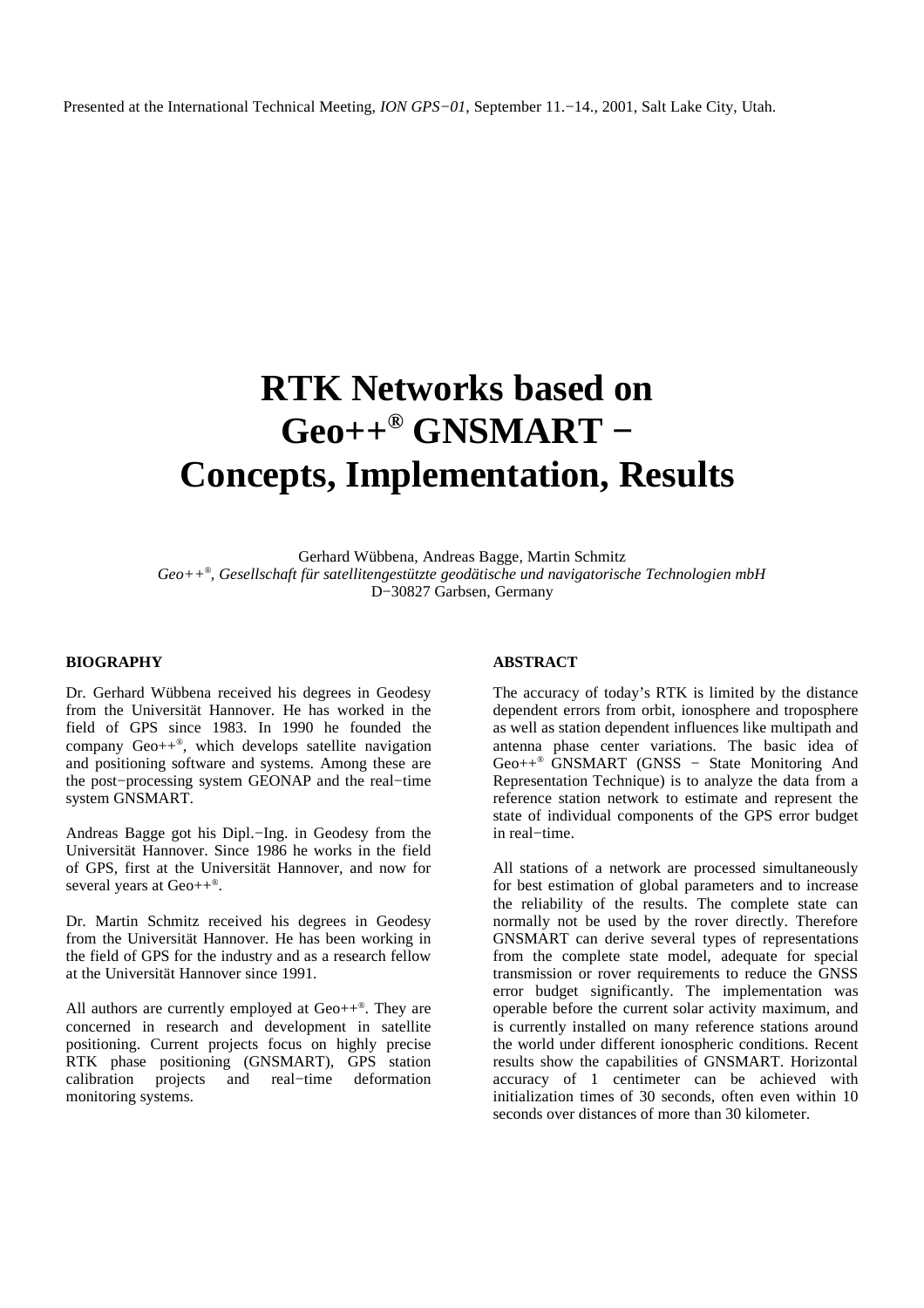# **RTK Networks based on Geo++ ® GNSMART − Concepts, Implementation, Results**

Gerhard Wübbena, Andreas Bagge, Martin Schmitz *Geo++ ® , Gesellschaft für satellitengestützte geodätische und navigatorische Technologien mbH* D−30827 Garbsen, Germany

#### **BIOGRAPHY**

Dr. Gerhard Wübbena received his degrees in Geodesy from the Universität Hannover. He has worked in the field of GPS since 1983. In 1990 he founded the company Geo++ *®* , which develops satellite navigation and positioning software and systems. Among these are the post−processing system GEONAP and the real−time system GNSMART.

Andreas Bagge got his Dipl.−Ing. in Geodesy from the Universität Hannover. Since 1986 he works in the field of GPS, first at the Universität Hannover, and now for several years at Geo++<sup>®</sup>.

Dr. Martin Schmitz received his degrees in Geodesy from the Universität Hannover. He has been working in the field of GPS for the industry and as a research fellow at the Universität Hannover since 1991.

All authors are currently employed at Geo++ *®* . They are concerned in research and development in satellite positioning. Current projects focus on highly precise RTK phase positioning (GNSMART), GPS station calibration projects and real−time deformation monitoring systems.

#### **ABSTRACT**

The accuracy of today's RTK is limited by the distance dependent errors from orbit, ionosphere and troposphere as well as station dependent influences like multipath and antenna phase center variations. The basic idea of Geo++ *®* GNSMART (GNSS − State Monitoring And Representation Technique) is to analyze the data from a reference station network to estimate and represent the state of individual components of the GPS error budget in real−time.

All stations of a network are processed simultaneously for best estimation of global parameters and to increase the reliability of the results. The complete state can normally not be used by the rover directly. Therefore GNSMART can derive several types of representations from the complete state model, adequate for special transmission or rover requirements to reduce the GNSS error budget significantly. The implementation was operable before the current solar activity maximum, and is currently installed on many reference stations around the world under different ionospheric conditions. Recent results show the capabilities of GNSMART. Horizontal accuracy of 1 centimeter can be achieved with initialization times of 30 seconds, often even within 10 seconds over distances of more than 30 kilometer.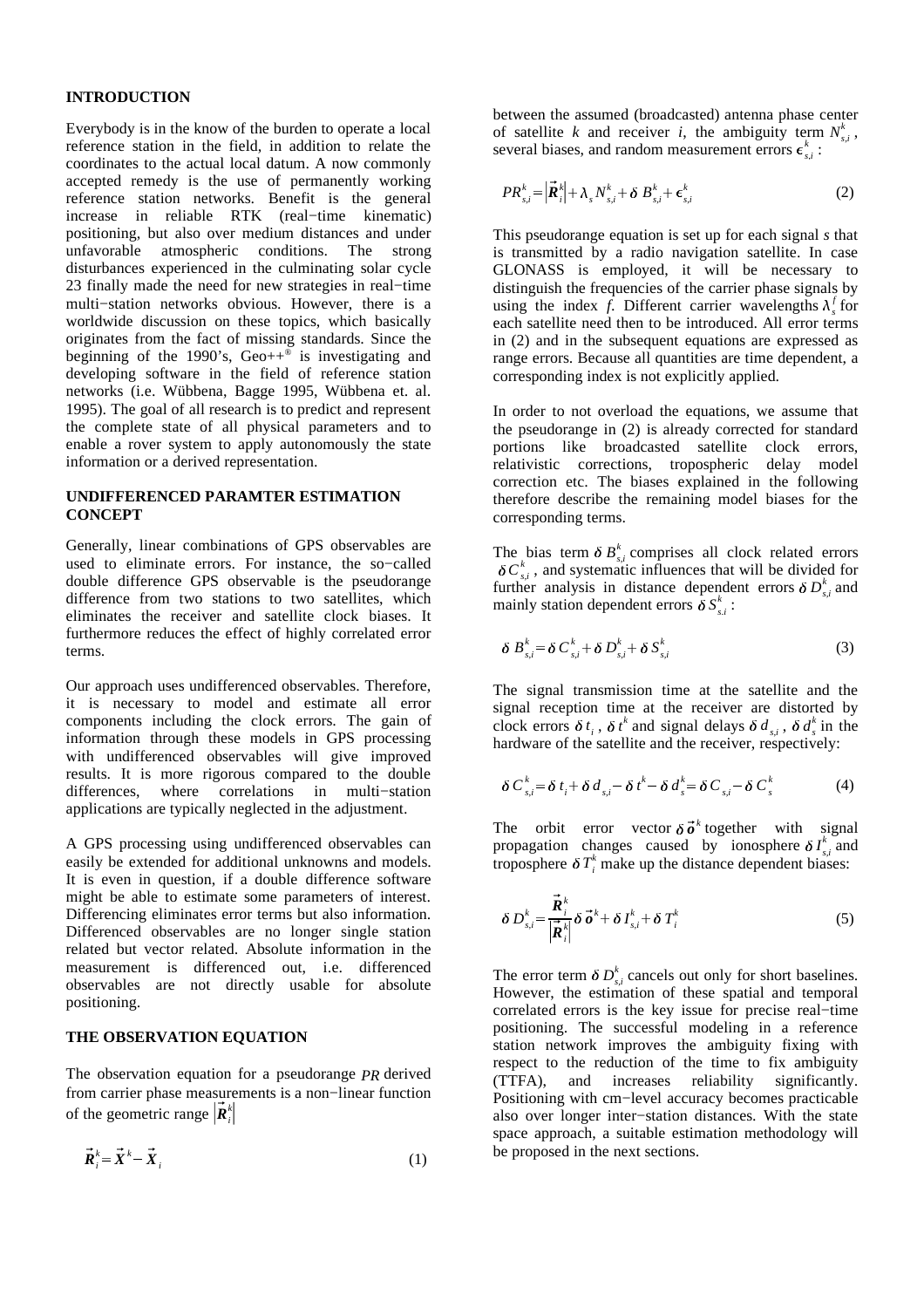## **INTRODUCTION**

Everybody is in the know of the burden to operate a local reference station in the field, in addition to relate the coordinates to the actual local datum. A now commonly accepted remedy is the use of permanently working reference station networks. Benefit is the general increase in reliable RTK (real−time kinematic) positioning, but also over medium distances and under unfavorable atmospheric conditions. The strong disturbances experienced in the culminating solar cycle 23 finally made the need for new strategies in real−time multi−station networks obvious. However, there is a worldwide discussion on these topics, which basically originates from the fact of missing standards. Since the beginning of the 1990's,  $Geo++^{\otimes}$  is investigating and developing software in the field of reference station networks (i.e. Wübbena, Bagge 1995, Wübbena et. al. 1995). The goal of all research is to predict and represent the complete state of all physical parameters and to enable a rover system to apply autonomously the state information or a derived representation.

## **UNDIFFERENCED PARAMTER ESTIMATION CONCEPT**

Generally, linear combinations of GPS observables are used to eliminate errors. For instance, the so−called double difference GPS observable is the pseudorange difference from two stations to two satellites, which eliminates the receiver and satellite clock biases. It furthermore reduces the effect of highly correlated error terms.

Our approach uses undifferenced observables. Therefore, it is necessary to model and estimate all error components including the clock errors. The gain of information through these models in GPS processing with undifferenced observables will give improved results. It is more rigorous compared to the double differences, where correlations in multi−station applications are typically neglected in the adjustment.

A GPS processing using undifferenced observables can easily be extended for additional unknowns and models. It is even in question, if a double difference software might be able to estimate some parameters of interest. Differencing eliminates error terms but also information. Differenced observables are no longer single station related but vector related. Absolute information in the measurement is differenced out, i.e. differenced observables are not directly usable for absolute positioning.

## **THE OBSERVATION EQUATION**

The observation equation for a pseudorange *PR* derived from carrier phase measurements is a non−linear function of the geometric range  $\vec{R}_i^k$ the contract of the contract of the contract of the contract of the contract of

$$
\vec{R}_i^k = \vec{X}^k - \vec{X}_i
$$
 (1)

between the assumed (broadcasted) antenna phase center of satellite *k* and receiver *i*, the ambiguity term  $N_{s,i}^k$ , several biases, and random measurement errors  $\epsilon_{si}^k$ :

$$
PR_{s,i}^{k} = \left| \vec{\boldsymbol{R}}_{i}^{k} \right| + \lambda_{s} N_{s,i}^{k} + \delta B_{s,i}^{k} + \boldsymbol{\epsilon}_{s,i}^{k}
$$
 (2)

This pseudorange equation is set up for each signal *s* that is transmitted by a radio navigation satellite. In case GLONASS is employed, it will be necessary to distinguish the frequencies of the carrier phase signals by using the index *f*. Different carrier wavelengths  $\lambda_s^f$  for each satellite need then to be introduced. All error terms in (2) and in the subsequent equations are expressed as range errors. Because all quantities are time dependent, a corresponding index is not explicitly applied.

In order to not overload the equations, we assume that the pseudorange in (2) is already corrected for standard portions like broadcasted satellite clock errors, relativistic corrections, tropospheric delay model correction etc. The biases explained in the following therefore describe the remaining model biases for the corresponding terms.

The bias term  $\delta B_{s,i}^k$  comprises all clock related errors  $\delta C_{s,i}^k$ , and systematic influences that will be divided for further analysis in distance dependent errors  $\delta D_{s,i}^k$  and mainly station dependent errors  $\delta S_{s,i}^k$ :

$$
\delta B_{s,i}^k = \delta C_{s,i}^k + \delta D_{s,i}^k + \delta S_{s,i}^k \tag{3}
$$

The signal transmission time at the satellite and the signal reception time at the receiver are distorted by clock errors  $\delta t_i$ ,  $\delta t^k$  and signal delays  $\delta d_{s,i}$ ,  $\delta d_s^k$  in the hardware of the satellite and the receiver, respectively:

$$
\delta C_{s,i}^k = \delta t_i + \delta d_{s,i} - \delta t^k - \delta d_s^k = \delta C_{s,i} - \delta C_s^k \tag{4}
$$

The orbit error vector  $\delta \vec{\sigma}^k$  together with signal propagation changes caused by ionosphere  $\delta I_{s,i}^k$  $\int_{k}^{k}$  and troposphere  $\delta T_i^k$  make up the distance dependent biases:

$$
\delta D_{s,i}^k = \frac{\vec{R}_i^k}{\left|\vec{R}_i^k\right|} \delta \vec{\boldsymbol{\sigma}}^k + \delta I_{s,i}^k + \delta T_i^k \tag{5}
$$

The error term  $\delta D_{s,i}^k$  cancels out only for short baselines. However, the estimation of these spatial and temporal correlated errors is the key issue for precise real−time positioning. The successful modeling in a reference station network improves the ambiguity fixing with respect to the reduction of the time to fix ambiguity (TTFA), and increases reliability significantly. Positioning with cm−level accuracy becomes practicable also over longer inter−station distances. With the state space approach, a suitable estimation methodology will be proposed in the next sections.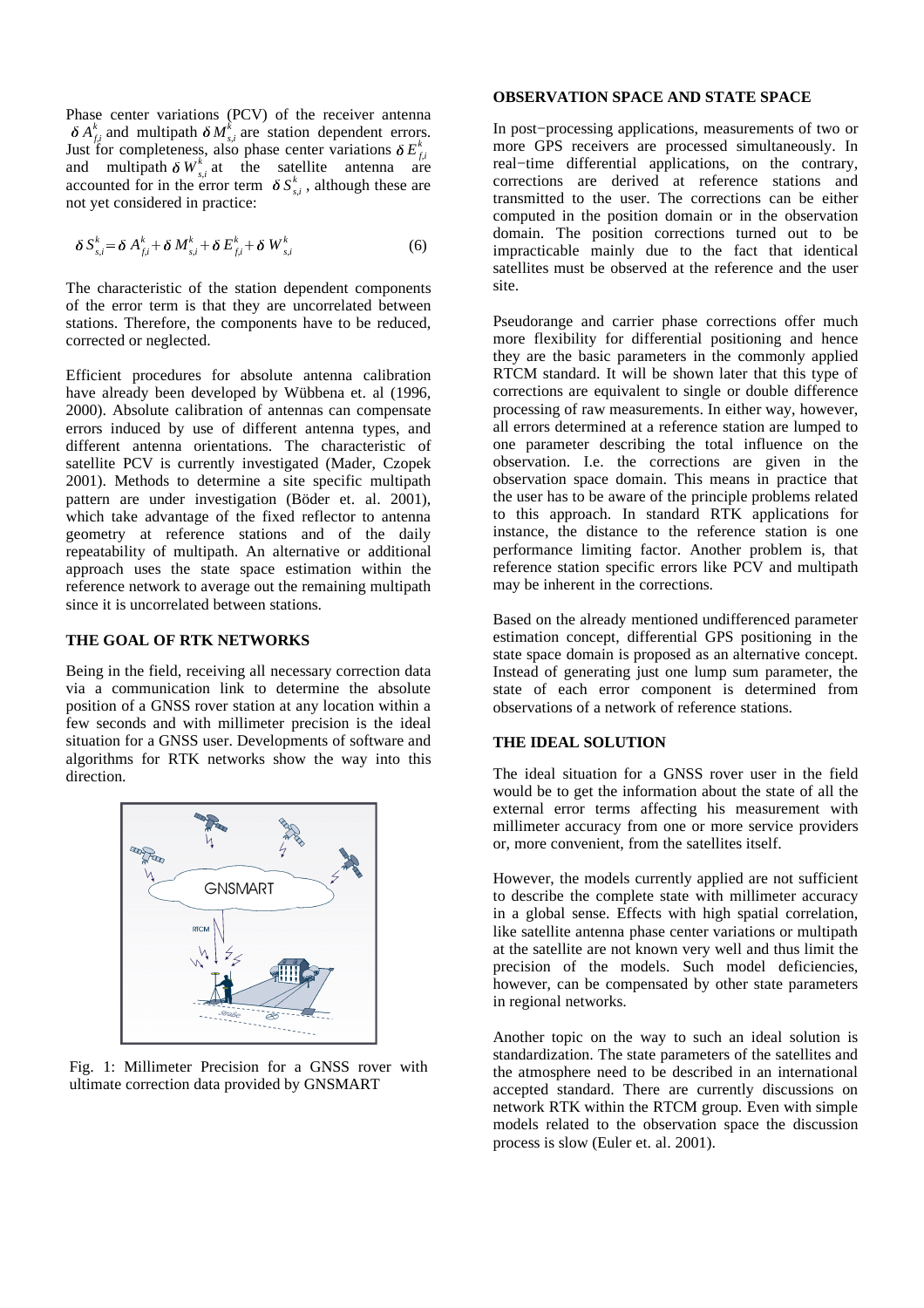Phase center variations (PCV) of the receiver antenna  $\delta A_{fi}^k$  and multipath  $\delta M_{s,i}^k$  are station dependent errors. Just for completeness, also phase center variations  $\delta E_{fi}^k$ and multipath  $\delta W_{s,i}^k$  at the satellite antenna are accounted for in the error term  $\delta S_{s,i}^k$ , although these are not yet considered in practice:

$$
\delta S_{s,i}^k = \delta A_{f,i}^k + \delta M_{s,i}^k + \delta E_{f,i}^k + \delta W_{s,i}^k \tag{6}
$$

The characteristic of the station dependent components of the error term is that they are uncorrelated between stations. Therefore, the components have to be reduced, corrected or neglected.

Efficient procedures for absolute antenna calibration have already been developed by Wübbena et. al (1996, 2000). Absolute calibration of antennas can compensate errors induced by use of different antenna types, and different antenna orientations. The characteristic of satellite PCV is currently investigated (Mader, Czopek 2001). Methods to determine a site specific multipath pattern are under investigation (Böder et. al. 2001), which take advantage of the fixed reflector to antenna geometry at reference stations and of the daily repeatability of multipath. An alternative or additional approach uses the state space estimation within the reference network to average out the remaining multipath since it is uncorrelated between stations.

## **THE GOAL OF RTK NETWORKS**

Being in the field, receiving all necessary correction data via a communication link to determine the absolute position of a GNSS rover station at any location within a few seconds and with millimeter precision is the ideal situation for a GNSS user. Developments of software and algorithms for RTK networks show the way into this direction.



Fig. 1: Millimeter Precision for a GNSS rover with ultimate correction data provided by GNSMART

## **OBSERVATION SPACE AND STATE SPACE**

In post−processing applications, measurements of two or more GPS receivers are processed simultaneously. In real−time differential applications, on the contrary, corrections are derived at reference stations and transmitted to the user. The corrections can be either computed in the position domain or in the observation domain. The position corrections turned out to be impracticable mainly due to the fact that identical satellites must be observed at the reference and the user site.

Pseudorange and carrier phase corrections offer much more flexibility for differential positioning and hence they are the basic parameters in the commonly applied RTCM standard. It will be shown later that this type of corrections are equivalent to single or double difference processing of raw measurements. In either way, however, all errors determined at a reference station are lumped to one parameter describing the total influence on the observation. I.e. the corrections are given in the observation space domain. This means in practice that the user has to be aware of the principle problems related to this approach. In standard RTK applications for instance, the distance to the reference station is one performance limiting factor. Another problem is, that reference station specific errors like PCV and multipath may be inherent in the corrections.

Based on the already mentioned undifferenced parameter estimation concept, differential GPS positioning in the state space domain is proposed as an alternative concept. Instead of generating just one lump sum parameter, the state of each error component is determined from observations of a network of reference stations.

# **THE IDEAL SOLUTION**

The ideal situation for a GNSS rover user in the field would be to get the information about the state of all the external error terms affecting his measurement with millimeter accuracy from one or more service providers or, more convenient, from the satellites itself.

However, the models currently applied are not sufficient to describe the complete state with millimeter accuracy in a global sense. Effects with high spatial correlation, like satellite antenna phase center variations or multipath at the satellite are not known very well and thus limit the precision of the models. Such model deficiencies, however, can be compensated by other state parameters in regional networks.

Another topic on the way to such an ideal solution is standardization. The state parameters of the satellites and the atmosphere need to be described in an international accepted standard. There are currently discussions on network RTK within the RTCM group. Even with simple models related to the observation space the discussion process is slow (Euler et. al. 2001).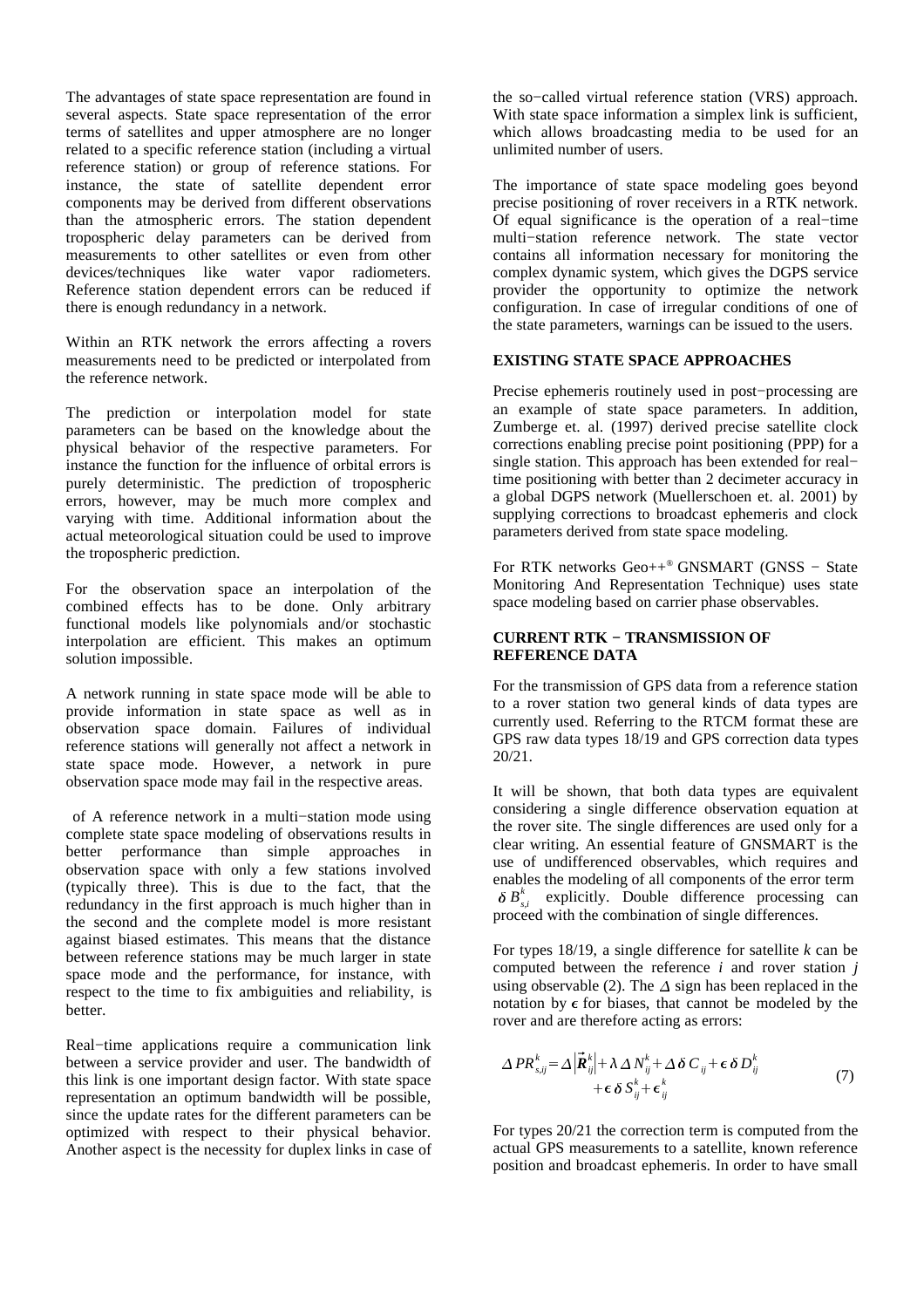The advantages of state space representation are found in several aspects. State space representation of the error terms of satellites and upper atmosphere are no longer related to a specific reference station (including a virtual reference station) or group of reference stations. For instance, the state of satellite dependent error components may be derived from different observations than the atmospheric errors. The station dependent tropospheric delay parameters can be derived from measurements to other satellites or even from other devices/techniques like water vapor radiometers. Reference station dependent errors can be reduced if there is enough redundancy in a network.

Within an RTK network the errors affecting a rovers measurements need to be predicted or interpolated from the reference network.

The prediction or interpolation model for state parameters can be based on the knowledge about the physical behavior of the respective parameters. For instance the function for the influence of orbital errors is purely deterministic. The prediction of tropospheric errors, however, may be much more complex and varying with time. Additional information about the actual meteorological situation could be used to improve the tropospheric prediction.

For the observation space an interpolation of the combined effects has to be done. Only arbitrary functional models like polynomials and/or stochastic interpolation are efficient. This makes an optimum solution impossible.

A network running in state space mode will be able to provide information in state space as well as in observation space domain. Failures of individual reference stations will generally not affect a network in state space mode. However, a network in pure observation space mode may fail in the respective areas.

of A reference network in a multi−station mode using complete state space modeling of observations results in better performance than simple approaches in observation space with only a few stations involved (typically three). This is due to the fact, that the redundancy in the first approach is much higher than in the second and the complete model is more resistant against biased estimates. This means that the distance between reference stations may be much larger in state space mode and the performance, for instance, with respect to the time to fix ambiguities and reliability, is better.

Real−time applications require a communication link between a service provider and user. The bandwidth of this link is one important design factor. With state space representation an optimum bandwidth will be possible, since the update rates for the different parameters can be optimized with respect to their physical behavior. Another aspect is the necessity for duplex links in case of the so−called virtual reference station (VRS) approach. With state space information a simplex link is sufficient, which allows broadcasting media to be used for an unlimited number of users.

The importance of state space modeling goes beyond precise positioning of rover receivers in a RTK network. Of equal significance is the operation of a real−time multi−station reference network. The state vector contains all information necessary for monitoring the complex dynamic system, which gives the DGPS service provider the opportunity to optimize the network configuration. In case of irregular conditions of one of the state parameters, warnings can be issued to the users.

## **EXISTING STATE SPACE APPROACHES**

Precise ephemeris routinely used in post−processing are an example of state space parameters. In addition, Zumberge et. al. (1997) derived precise satellite clock corrections enabling precise point positioning (PPP) for a single station. This approach has been extended for real− time positioning with better than 2 decimeter accuracy in a global DGPS network (Muellerschoen et. al. 2001) by supplying corrections to broadcast ephemeris and clock parameters derived from state space modeling.

For RTK networks Geo++ *®* GNSMART (GNSS − State Monitoring And Representation Technique) uses state space modeling based on carrier phase observables.

# **CURRENT RTK − TRANSMISSION OF REFERENCE DATA**

For the transmission of GPS data from a reference station to a rover station two general kinds of data types are currently used. Referring to the RTCM format these are GPS raw data types 18/19 and GPS correction data types 20/21.

It will be shown, that both data types are equivalent considering a single difference observation equation at the rover site. The single differences are used only for a clear writing. An essential feature of GNSMART is the use of undifferenced observables, which requires and enables the modeling of all components of the error term  $\delta B_{s,i}^k$  explicitly. Double difference processing can proceed with the combination of single differences.

For types 18/19, a single difference for satellite *k* can be computed between the reference *i* and rover station *j* using observable (2). The  $\Delta$  sign has been replaced in the notation by  $\epsilon$  for biases, that cannot be modeled by the rover and are therefore acting as errors:

$$
\Delta PR_{s,ij}^k = \Delta \left| \vec{R}_{ij}^k \right| + \lambda \Delta N_{ij}^k + \Delta \delta C_{ij} + \epsilon \delta D_{ij}^k
$$
  
 
$$
+ \epsilon \delta S_{ij}^k + \epsilon_{ij}^k
$$
 (7)

For types 20/21 the correction term is computed from the actual GPS measurements to a satellite, known reference position and broadcast ephemeris. In order to have small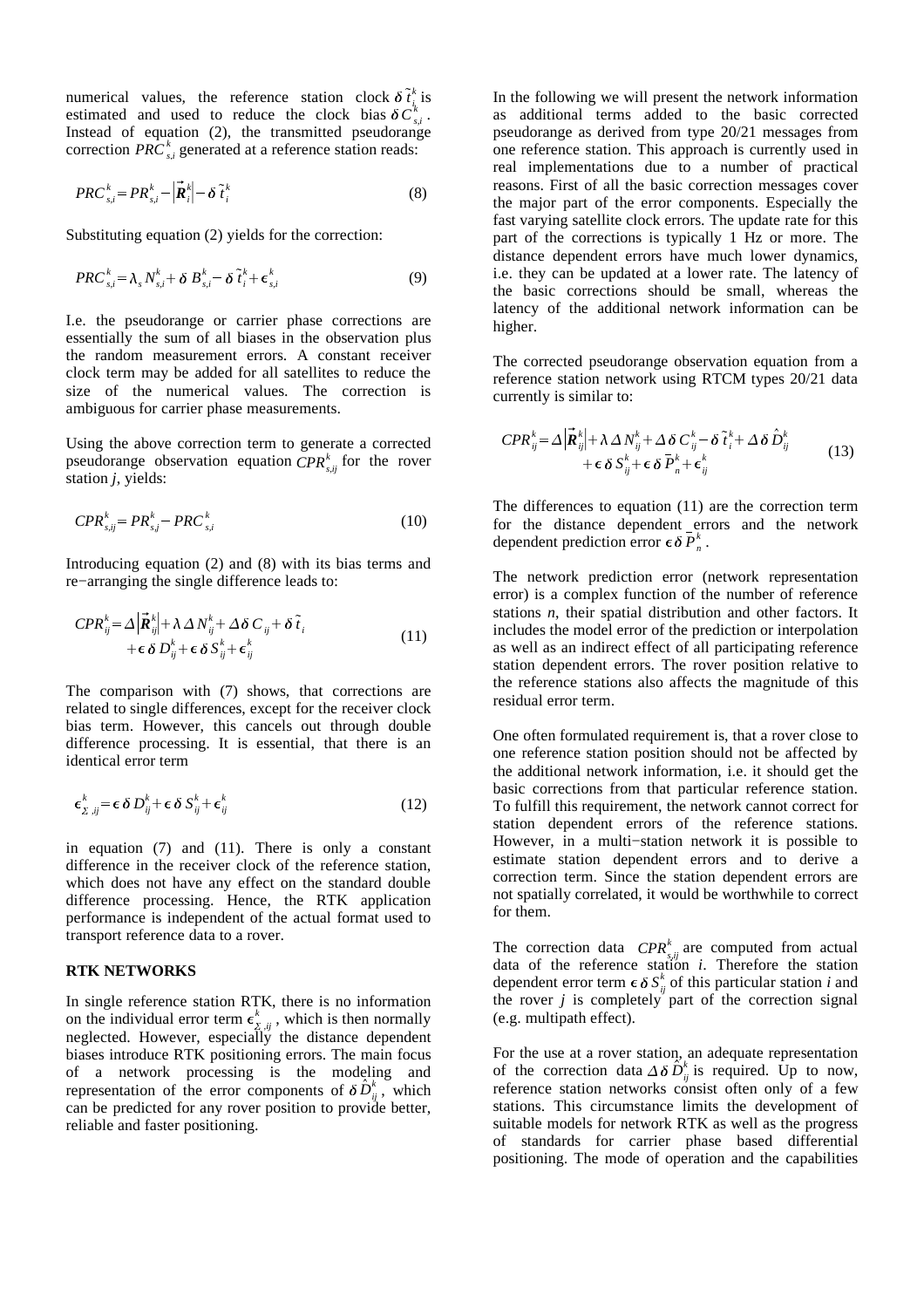numerical values, the reference station clock  $\delta \tilde{t}_{i}^{k}$  is estimated and used to reduce the clock bias  $\delta C_{s,i}^k$ . Instead of equation (2), the transmitted pseudorange correction  $PRC_{si}^{k}$  generated at a reference station reads:

$$
PRC_{s,i}^{k} = PR_{s,i}^{k} - \left|\vec{R}_{i}^{k}\right| - \delta \tilde{t}_{i}^{k}
$$
\n(8)

Substituting equation (2) yields for the correction:

$$
PRC_{s,i}^{k} = \lambda_{s} N_{s,i}^{k} + \delta B_{s,i}^{k} - \delta \tilde{t}_{i}^{k} + \epsilon_{s,i}^{k}
$$
 (9)

I.e. the pseudorange or carrier phase corrections are essentially the sum of all biases in the observation plus the random measurement errors. A constant receiver clock term may be added for all satellites to reduce the size of the numerical values. The correction is ambiguous for carrier phase measurements.

Using the above correction term to generate a corrected pseudorange observation equation  $\mathit{CPR}_{s,ij}^k$  for the rover station *j*, yields:

$$
CPR_{s,ij}^k = PR_{s,j}^k - PRC_{s,i}^k \tag{10}
$$

Introducing equation (2) and (8) with its bias terms and re−arranging the single difference leads to:

$$
CPR_{ij}^k = \Delta \left| \vec{R}_{ij}^k \right| + \lambda \Delta N_{ij}^k + \Delta \delta C_{ij} + \delta \tilde{t}_i
$$
  
+  $\epsilon \delta D_{ij}^k + \epsilon \delta S_{ij}^k + \epsilon_{ij}^k$  (11)

The comparison with (7) shows, that corrections are related to single differences, except for the receiver clock bias term. However, this cancels out through double difference processing. It is essential, that there is an identical error term

$$
\epsilon_{\Sigma,ij}^k = \epsilon \, \delta \, D_{ij}^k + \epsilon \, \delta \, S_{ij}^k + \epsilon_{ij}^k \tag{12}
$$

in equation (7) and (11). There is only a constant difference in the receiver clock of the reference station, which does not have any effect on the standard double difference processing. Hence, the RTK application performance is independent of the actual format used to transport reference data to a rover.

#### **RTK NETWORKS**

. . .

In single reference station RTK, there is no information on the individual error term  $\epsilon_{\Sigma,ij}^{\kappa}$ ,  $\frac{k}{\lambda}$  is which is then normally neglected. However, especially the distance dependent biases introduce RTK positioning errors. The main focus of a network processing is the modeling and representation of the error components of  $\delta \hat{D}_{ij}^k$ , which can be predicted for any rover position to provide better, reliable and faster positioning.

In the following we will present the network information as additional terms added to the basic corrected pseudorange as derived from type 20/21 messages from one reference station. This approach is currently used in real implementations due to a number of practical reasons. First of all the basic correction messages cover the major part of the error components. Especially the fast varying satellite clock errors. The update rate for this part of the corrections is typically 1 Hz or more. The distance dependent errors have much lower dynamics, i.e. they can be updated at a lower rate. The latency of the basic corrections should be small, whereas the latency of the additional network information can be higher.

The corrected pseudorange observation equation from a reference station network using RTCM types 20/21 data currently is similar to:

$$
CPR_{ij}^k = \Delta \left| \vec{R}_{ij}^k \right| + \lambda \Delta N_{ij}^k + \Delta \delta C_{ij}^k - \delta \tilde{t}_i^k + \Delta \delta \hat{D}_{ij}^k + \epsilon \delta S_{ij}^k + \epsilon \delta \bar{P}_n^k + \epsilon_{ij}^k
$$
\n(13)

The differences to equation (11) are the correction term for the distance dependent errors and the network dependent prediction error  $\epsilon \delta \overline{P}_n^k$ .

The network prediction error (network representation error) is a complex function of the number of reference stations *n*, their spatial distribution and other factors. It includes the model error of the prediction or interpolation as well as an indirect effect of all participating reference station dependent errors. The rover position relative to the reference stations also affects the magnitude of this residual error term.

One often formulated requirement is, that a rover close to one reference station position should not be affected by the additional network information, i.e. it should get the basic corrections from that particular reference station. To fulfill this requirement, the network cannot correct for station dependent errors of the reference stations. However, in a multi−station network it is possible to estimate station dependent errors and to derive a correction term. Since the station dependent errors are not spatially correlated, it would be worthwhile to correct for them.

The correction data  $\mathit{CPR}_{s,ij}^k$  are computed from actual data of the reference station *i*. Therefore the station dependent error term  $\epsilon \delta S_{ij}^k$  of this particular station *i* and the rover *j* is completely part of the correction signal (e.g. multipath effect).

For the use at a rover station, an adequate representation of the correction data  $\Delta \delta \hat{D}_{ij}^k$  is required. Up to now, reference station networks consist often only of a few stations. This circumstance limits the development of suitable models for network RTK as well as the progress of standards for carrier phase based differential positioning. The mode of operation and the capabilities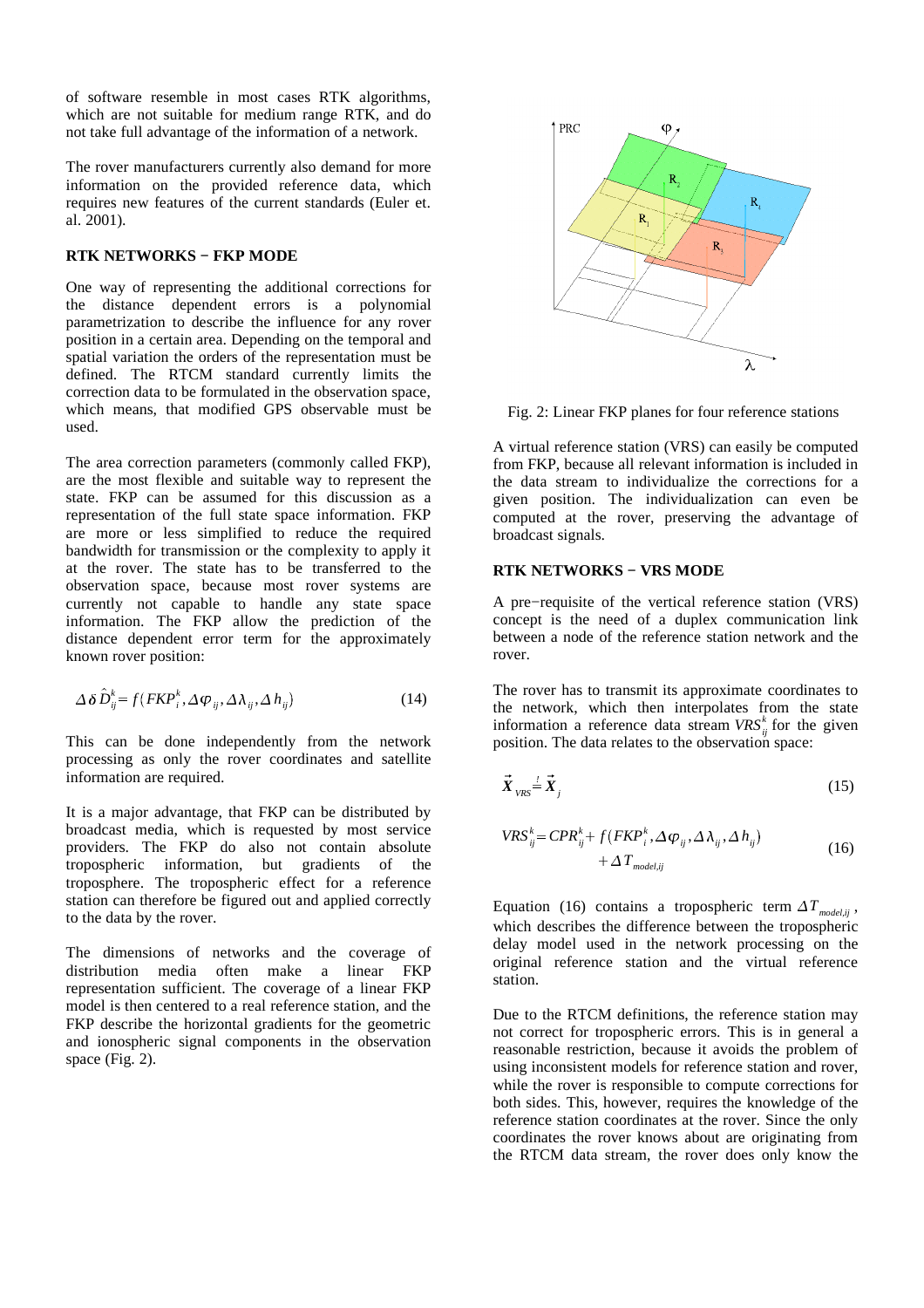of software resemble in most cases RTK algorithms, which are not suitable for medium range RTK, and do not take full advantage of the information of a network.

The rover manufacturers currently also demand for more information on the provided reference data, which requires new features of the current standards (Euler et. al. 2001).

# **RTK NETWORKS − FKP MODE**

One way of representing the additional corrections for the distance dependent errors is a polynomial parametrization to describe the influence for any rover position in a certain area. Depending on the temporal and spatial variation the orders of the representation must be defined. The RTCM standard currently limits the correction data to be formulated in the observation space, which means, that modified GPS observable must be used.

The area correction parameters (commonly called FKP), are the most flexible and suitable way to represent the state. FKP can be assumed for this discussion as a representation of the full state space information. FKP are more or less simplified to reduce the required bandwidth for transmission or the complexity to apply it at the rover. The state has to be transferred to the observation space, because most rover systems are currently not capable to handle any state space information. The FKP allow the prediction of the distance dependent error term for the approximately known rover position:

$$
\Delta \delta \hat{D}_{ij}^k = f(FKP_i^k, \Delta \varphi_{ij}, \Delta \lambda_{ij}, \Delta h_{ij})
$$
\n(14)

This can be done independently from the network processing as only the rover coordinates and satellite information are required.

It is a major advantage, that FKP can be distributed by broadcast media, which is requested by most service providers. The FKP do also not contain absolute tropospheric information, but gradients of the troposphere. The tropospheric effect for a reference station can therefore be figured out and applied correctly to the data by the rover.

The dimensions of networks and the coverage of distribution media often make a linear FKP representation sufficient. The coverage of a linear FKP model is then centered to a real reference station, and the FKP describe the horizontal gradients for the geometric and ionospheric signal components in the observation space (Fig. 2).



Fig. 2: Linear FKP planes for four reference stations

A virtual reference station (VRS) can easily be computed from FKP, because all relevant information is included in the data stream to individualize the corrections for a given position. The individualization can even be computed at the rover, preserving the advantage of broadcast signals.

## **RTK NETWORKS − VRS MODE**

A pre−requisite of the vertical reference station (VRS) concept is the need of a duplex communication link between a node of the reference station network and the rover.

The rover has to transmit its approximate coordinates to the network, which then interpolates from the state information a reference data stream  $VRS_{ij}^k$  for the given position. The data relates to the observation space:

$$
\vec{X}_{VRS} = \vec{X}_j \tag{15}
$$

$$
VRS_{ij}^k = CPR_{ij}^k + f(FKP_i^k, \Delta \varphi_{ij}, \Delta \lambda_{ij}, \Delta h_{ij})
$$
  
+  $\Delta T_{model,ij}$  (16)

Equation (16) contains a tropospheric term  $\Delta T_{model,ij}$ , which describes the difference between the tropospheric delay model used in the network processing on the original reference station and the virtual reference station.

Due to the RTCM definitions, the reference station may not correct for tropospheric errors. This is in general a reasonable restriction, because it avoids the problem of using inconsistent models for reference station and rover, while the rover is responsible to compute corrections for both sides. This, however, requires the knowledge of the reference station coordinates at the rover. Since the only coordinates the rover knows about are originating from the RTCM data stream, the rover does only know the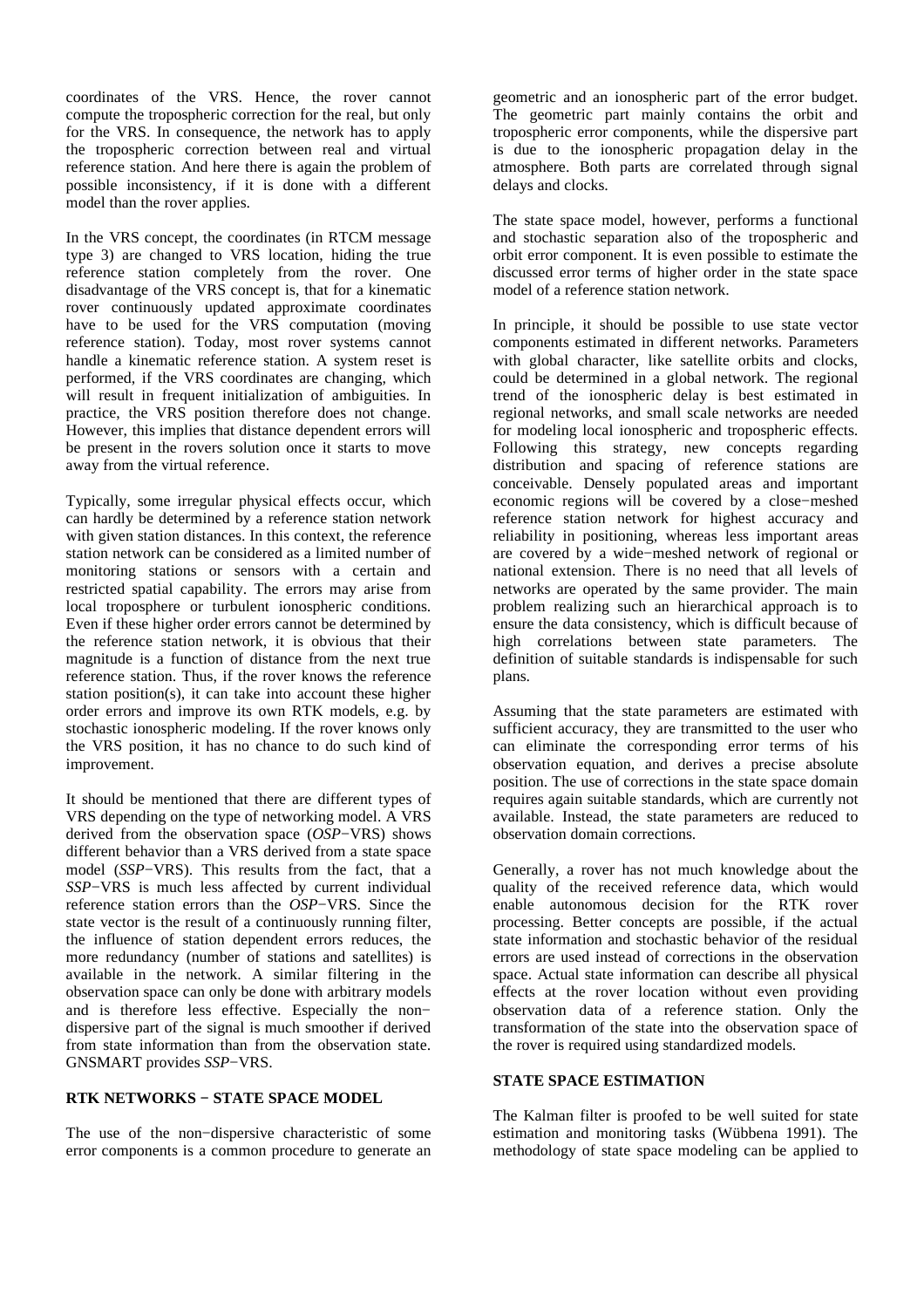coordinates of the VRS. Hence, the rover cannot compute the tropospheric correction for the real, but only for the VRS. In consequence, the network has to apply the tropospheric correction between real and virtual reference station. And here there is again the problem of possible inconsistency, if it is done with a different model than the rover applies.

In the VRS concept, the coordinates (in RTCM message type 3) are changed to VRS location, hiding the true reference station completely from the rover. One disadvantage of the VRS concept is, that for a kinematic rover continuously updated approximate coordinates have to be used for the VRS computation (moving reference station). Today, most rover systems cannot handle a kinematic reference station. A system reset is performed, if the VRS coordinates are changing, which will result in frequent initialization of ambiguities. In practice, the VRS position therefore does not change. However, this implies that distance dependent errors will be present in the rovers solution once it starts to move away from the virtual reference.

Typically, some irregular physical effects occur, which can hardly be determined by a reference station network with given station distances. In this context, the reference station network can be considered as a limited number of monitoring stations or sensors with a certain and restricted spatial capability. The errors may arise from local troposphere or turbulent ionospheric conditions. Even if these higher order errors cannot be determined by the reference station network, it is obvious that their magnitude is a function of distance from the next true reference station. Thus, if the rover knows the reference station position(s), it can take into account these higher order errors and improve its own RTK models, e.g. by stochastic ionospheric modeling. If the rover knows only the VRS position, it has no chance to do such kind of improvement.

It should be mentioned that there are different types of VRS depending on the type of networking model. A VRS derived from the observation space (*OSP*−VRS) shows different behavior than a VRS derived from a state space model (*SSP*−VRS). This results from the fact, that a *SSP*−VRS is much less affected by current individual reference station errors than the *OSP*−VRS. Since the state vector is the result of a continuously running filter, the influence of station dependent errors reduces, the more redundancy (number of stations and satellites) is available in the network. A similar filtering in the observation space can only be done with arbitrary models and is therefore less effective. Especially the non− dispersive part of the signal is much smoother if derived from state information than from the observation state. GNSMART provides *SSP*−VRS.

#### **RTK NETWORKS − STATE SPACE MODEL**

The use of the non−dispersive characteristic of some error components is a common procedure to generate an geometric and an ionospheric part of the error budget. The geometric part mainly contains the orbit and tropospheric error components, while the dispersive part is due to the ionospheric propagation delay in the atmosphere. Both parts are correlated through signal delays and clocks.

The state space model, however, performs a functional and stochastic separation also of the tropospheric and orbit error component. It is even possible to estimate the discussed error terms of higher order in the state space model of a reference station network.

In principle, it should be possible to use state vector components estimated in different networks. Parameters with global character, like satellite orbits and clocks, could be determined in a global network. The regional trend of the ionospheric delay is best estimated in regional networks, and small scale networks are needed for modeling local ionospheric and tropospheric effects. Following this strategy, new concepts regarding distribution and spacing of reference stations are conceivable. Densely populated areas and important economic regions will be covered by a close−meshed reference station network for highest accuracy and reliability in positioning, whereas less important areas are covered by a wide−meshed network of regional or national extension. There is no need that all levels of networks are operated by the same provider. The main problem realizing such an hierarchical approach is to ensure the data consistency, which is difficult because of high correlations between state parameters. The definition of suitable standards is indispensable for such plans.

Assuming that the state parameters are estimated with sufficient accuracy, they are transmitted to the user who can eliminate the corresponding error terms of his observation equation, and derives a precise absolute position. The use of corrections in the state space domain requires again suitable standards, which are currently not available. Instead, the state parameters are reduced to observation domain corrections.

Generally, a rover has not much knowledge about the quality of the received reference data, which would enable autonomous decision for the RTK rover processing. Better concepts are possible, if the actual state information and stochastic behavior of the residual errors are used instead of corrections in the observation space. Actual state information can describe all physical effects at the rover location without even providing observation data of a reference station. Only the transformation of the state into the observation space of the rover is required using standardized models.

## **STATE SPACE ESTIMATION**

The Kalman filter is proofed to be well suited for state estimation and monitoring tasks (Wübbena 1991). The methodology of state space modeling can be applied to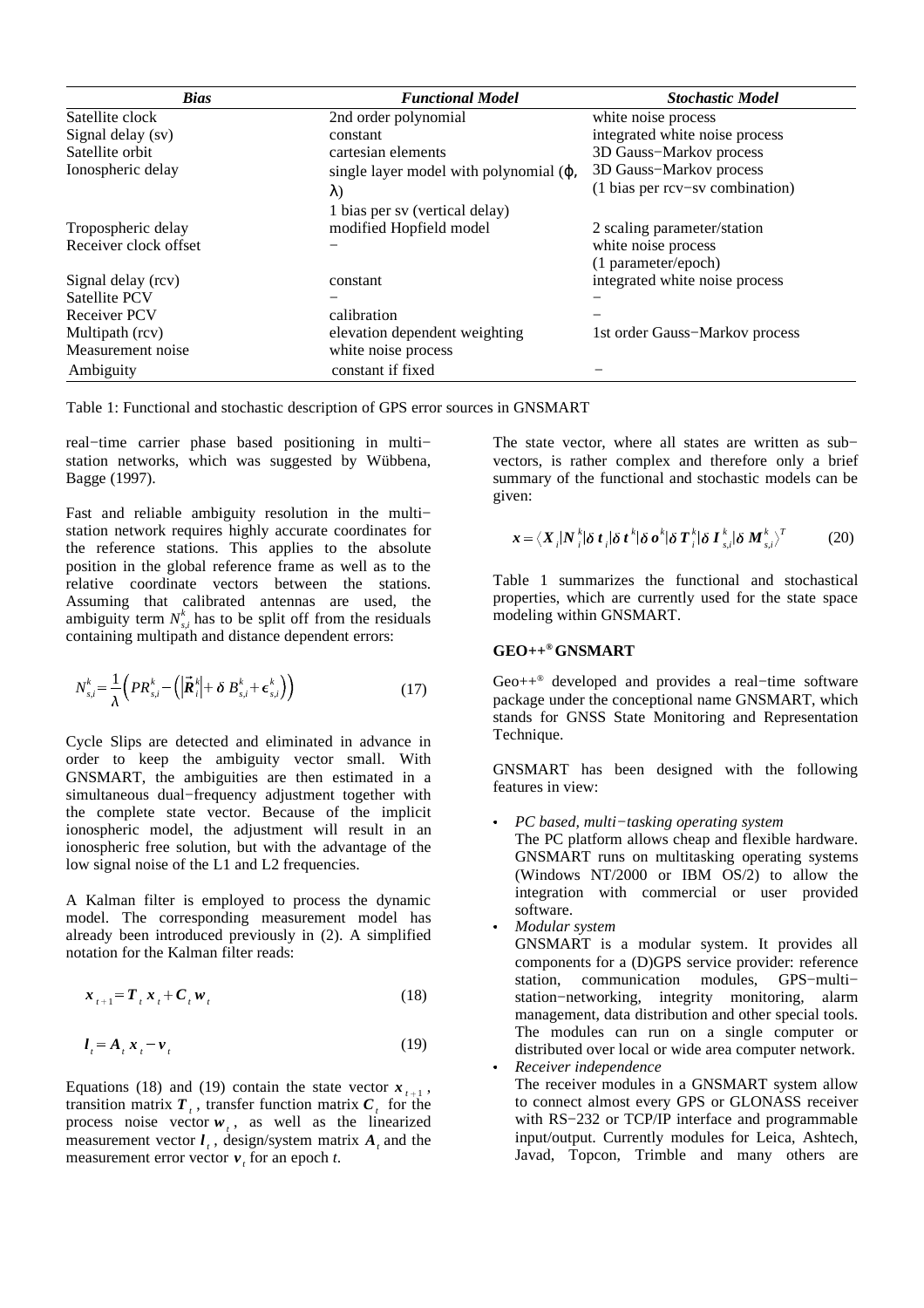| <b>Bias</b>           | <b>Functional Model</b>                        | <b>Stochastic Model</b>         |
|-----------------------|------------------------------------------------|---------------------------------|
| Satellite clock       | 2nd order polynomial                           | white noise process             |
| Signal delay (sv)     | constant                                       | integrated white noise process  |
| Satellite orbit       | cartesian elements                             | 3D Gauss-Markov process         |
| Ionospheric delay     | single layer model with polynomial $(\varphi,$ | 3D Gauss-Markov process         |
|                       | $\lambda$                                      | (1 bias per rcv-sv combination) |
|                       | 1 bias per sv (vertical delay)                 |                                 |
| Tropospheric delay    | modified Hopfield model                        | 2 scaling parameter/station     |
| Receiver clock offset |                                                | white noise process             |
|                       |                                                | (1 parameter/epoch)             |
| Signal delay (rcv)    | constant                                       | integrated white noise process  |
| Satellite PCV         |                                                |                                 |
| <b>Receiver PCV</b>   | calibration                                    |                                 |
| Multipath (rcv)       | elevation dependent weighting                  | 1st order Gauss-Markov process  |
| Measurement noise     | white noise process                            |                                 |
| Ambiguity             | constant if fixed                              |                                 |

Table 1: Functional and stochastic description of GPS error sources in GNSMART

real−time carrier phase based positioning in multi− station networks, which was suggested by Wübbena, Bagge (1997).

Fast and reliable ambiguity resolution in the multi− station network requires highly accurate coordinates for the reference stations. This applies to the absolute position in the global reference frame as well as to the relative coordinate vectors between the stations. Assuming that calibrated antennas are used, the ambiguity term  $N_{s,i}^k$  has to be split off from the residuals containing multipath and distance dependent errors:

$$
N_{s,i}^k = \frac{1}{\lambda} \left( PR_{s,i}^k - \left( \left| \vec{R}_i^k \right| + \delta \ B_{s,i}^k + \epsilon_{s,i}^k \right) \right) \tag{17}
$$

Cycle Slips are detected and eliminated in advance in order to keep the ambiguity vector small. With GNSMART, the ambiguities are then estimated in a simultaneous dual−frequency adjustment together with the complete state vector. Because of the implicit ionospheric model, the adjustment will result in an ionospheric free solution, but with the advantage of the low signal noise of the L1 and L2 frequencies.

A Kalman filter is employed to process the dynamic model. The corresponding measurement model has already been introduced previously in (2). A simplified notation for the Kalman filter reads:

$$
\boldsymbol{x}_{t+1} = \boldsymbol{T}_t \boldsymbol{x}_t + \boldsymbol{C}_t \boldsymbol{w}_t \tag{18}
$$

$$
l_t = A_t x_t - v_t \tag{19}
$$

Equations (18) and (19) contain the state vector  $x_{t+1}$ , transition matrix  $T_{t}$ , transfer function matrix  $C_{t}$  for the process noise vector  $w_t$ , as well as the linearized measurement vector  $\mathbf{l}_t$ , design/system matrix  $\mathbf{A}_t$  and the measurement error vector  $v_t$  for an epoch *t*.

The state vector, where all states are written as sub− vectors, is rather complex and therefore only a brief summary of the functional and stochastic models can be given:

$$
\boldsymbol{x} = \langle \boldsymbol{X}_i | \boldsymbol{N}_i^k | \delta \boldsymbol{t}_i | \delta \boldsymbol{t}^k | \delta \boldsymbol{\sigma}^k | \delta \boldsymbol{T}_i^k | \delta \boldsymbol{I}_{s,i}^k | \delta \boldsymbol{M}_{s,i}^k \rangle^T \tag{20}
$$

Table 1 summarizes the functional and stochastical properties, which are currently used for the state space modeling within GNSMART.

# **GEO++ ®GNSMART**

Geo++ ® developed and provides a real−time software package under the conceptional name GNSMART, which stands for GNSS State Monitoring and Representation Technique.

GNSMART has been designed with the following features in view:

- \_ *PC based, multi−tasking operating system* The PC platform allows cheap and flexible hardware. GNSMART runs on multitasking operating systems (Windows NT/2000 or IBM OS/2) to allow the integration with commercial or user provided software.
- \_ *Modular system* GNSMART is a modular system. It provides all components for a (D)GPS service provider: reference station, communication modules, GPS−multi− station−networking, integrity monitoring, alarm management, data distribution and other special tools. The modules can run on a single computer or distributed over local or wide area computer network. \_ *Receiver independence* The receiver modules in a GNSMART system allow
	- to connect almost every GPS or GLONASS receiver with RS−232 or TCP/IP interface and programmable input/output. Currently modules for Leica, Ashtech, Javad, Topcon, Trimble and many others are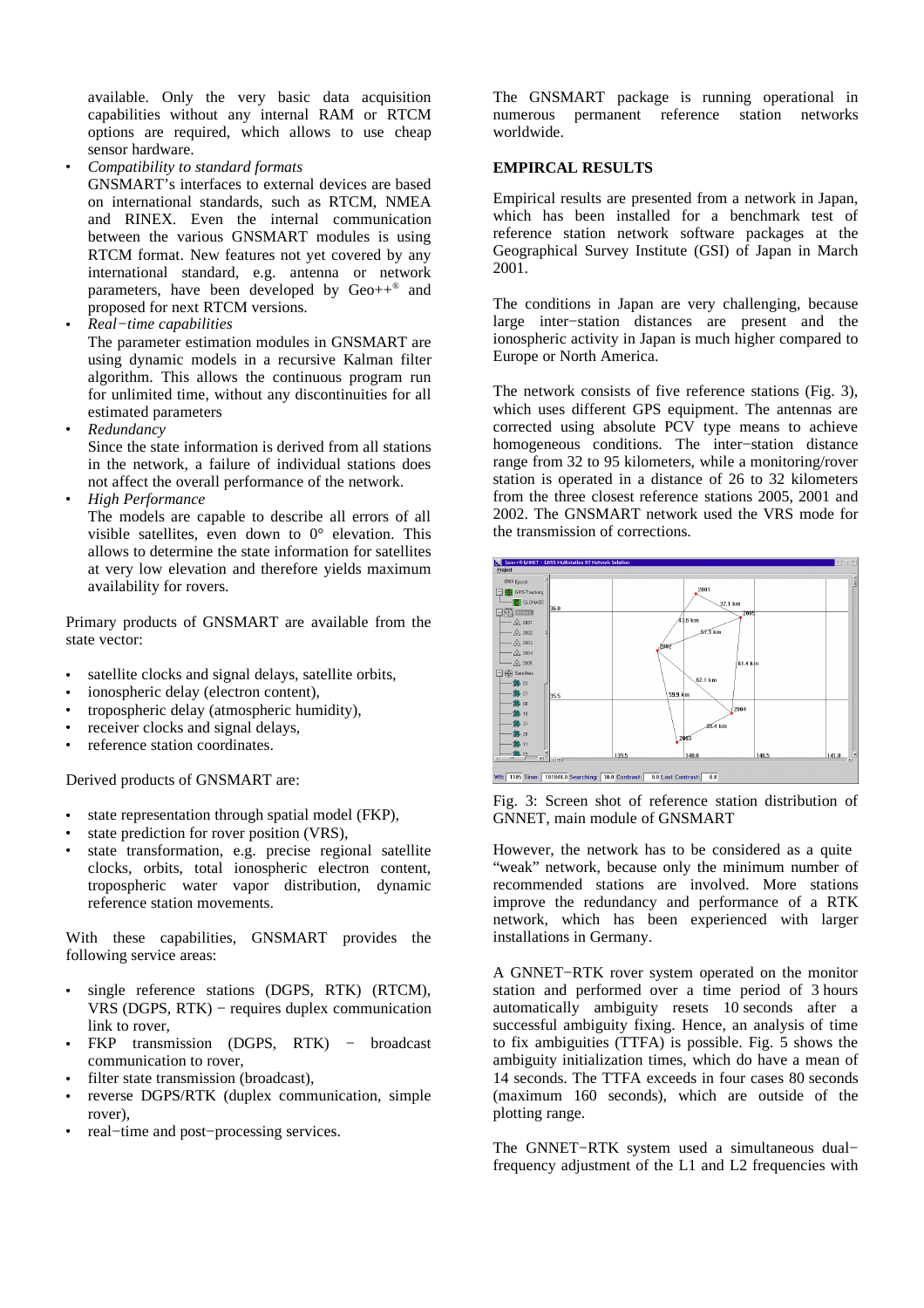available. Only the very basic data acquisition capabilities without any internal RAM or RTCM options are required, which allows to use cheap sensor hardware.

\_ *Compatibility to standard formats*

GNSMART's interfaces to external devices are based on international standards, such as RTCM, NMEA and RINEX. Even the internal communication between the various GNSMART modules is using RTCM format. New features not yet covered by any international standard, e.g. antenna or network parameters, have been developed by Geo++ ® and proposed for next RTCM versions.

 $\sim$   $\sim$ *Real−time capabilities*

The parameter estimation modules in GNSMART are using dynamic models in a recursive Kalman filter algorithm. This allows the continuous program run for unlimited time, without any discontinuities for all estimated parameters

\_ *Redundancy*

> Since the state information is derived from all stations in the network, a failure of individual stations does not affect the overall performance of the network.

\_ *High Performance*

> The models are capable to describe all errors of all visible satellites, even down to 0° elevation. This allows to determine the state information for satellites at very low elevation and therefore yields maximum availability for rovers.

Primary products of GNSMART are available from the state vector:

- $\ddot{\phantom{a}}$ satellite clocks and signal delays, satellite orbits,
- \_ ionospheric delay (electron content),
- $\sim$   $\sim$ tropospheric delay (atmospheric humidity),
- $\sim$   $\sim$ receiver clocks and signal delays,
- $\sim$   $\sim$ reference station coordinates.

Derived products of GNSMART are:

- \_ state representation through spatial model (FKP),
- \_ state prediction for rover position (VRS),
- \_ state transformation, e.g. precise regional satellite clocks, orbits, total ionospheric electron content, tropospheric water vapor distribution, dynamic reference station movements.

With these capabilities, GNSMART provides the following service areas:

- $\sim$   $\sim$ single reference stations (DGPS, RTK) (RTCM), VRS (DGPS, RTK) − requires duplex communication link to rover.
- $\sim$   $\sim$ FKP transmission (DGPS, RTK) – broadcast communication to rover,
- $\sim$   $\sim$ filter state transmission (broadcast),
- $\sim$   $\sim$ reverse DGPS/RTK (duplex communication, simple rover),
- \_ real−time and post−processing services.

The GNSMART package is running operational in numerous permanent reference station networks worldwide.

# **EMPIRCAL RESULTS**

Empirical results are presented from a network in Japan, which has been installed for a benchmark test of reference station network software packages at the Geographical Survey Institute (GSI) of Japan in March 2001.

The conditions in Japan are very challenging, because large inter−station distances are present and the ionospheric activity in Japan is much higher compared to Europe or North America.

The network consists of five reference stations (Fig. 3), which uses different GPS equipment. The antennas are corrected using absolute PCV type means to achieve homogeneous conditions. The inter−station distance range from 32 to 95 kilometers, while a monitoring/rover station is operated in a distance of 26 to 32 kilometers from the three closest reference stations 2005, 2001 and 2002. The GNSMART network used the VRS mode for the transmission of corrections.





Fig. 3: Screen shot of reference station distribution of GNNET, main module of GNSMART

However, the network has to be considered as a quite "weak" network, because only the minimum number of recommended stations are involved. More stations improve the redundancy and performance of a RTK network, which has been experienced with larger installations in Germany.

A GNNET−RTK rover system operated on the monitor station and performed over a time period of 3 hours automatically ambiguity resets 10 seconds after a successful ambiguity fixing. Hence, an analysis of time to fix ambiguities (TTFA) is possible. Fig. 5 shows the ambiguity initialization times, which do have a mean of 14 seconds. The TTFA exceeds in four cases 80 seconds (maximum 160 seconds), which are outside of the plotting range.

The GNNET−RTK system used a simultaneous dual− frequency adjustment of the L1 and L2 frequencies with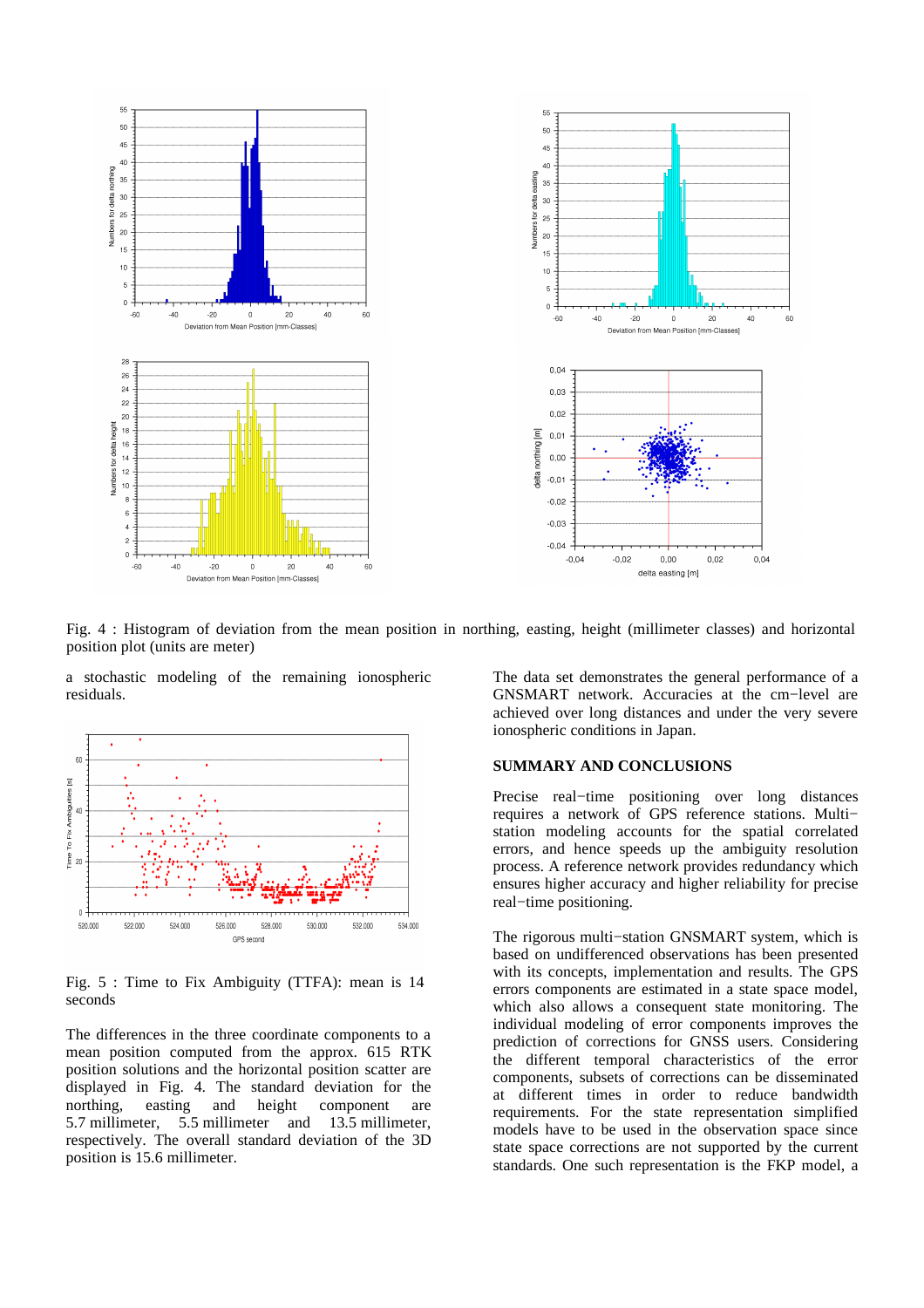

Fig. 4 : Histogram of deviation from the mean position in northing, easting, height (millimeter classes) and horizontal position plot (units are meter)

a stochastic modeling of the remaining ionospheric residuals.



Fig. 5 : Time to Fix Ambiguity (TTFA): mean is 14 seconds

The differences in the three coordinate components to a mean position computed from the approx. 615 RTK position solutions and the horizontal position scatter are displayed in Fig. 4. The standard deviation for the northing, easting and height component are 5.7 millimeter, 5.5 millimeter and 13.5 millimeter, respectively. The overall standard deviation of the 3D position is 15.6 millimeter.

The data set demonstrates the general performance of a GNSMART network. Accuracies at the cm−level are achieved over long distances and under the very severe ionospheric conditions in Japan.

#### **SUMMARY AND CONCLUSIONS**

Precise real−time positioning over long distances requires a network of GPS reference stations. Multi− station modeling accounts for the spatial correlated errors, and hence speeds up the ambiguity resolution process. A reference network provides redundancy which ensures higher accuracy and higher reliability for precise real−time positioning.

The rigorous multi−station GNSMART system, which is based on undifferenced observations has been presented with its concepts, implementation and results. The GPS errors components are estimated in a state space model, which also allows a consequent state monitoring. The individual modeling of error components improves the prediction of corrections for GNSS users. Considering the different temporal characteristics of the error components, subsets of corrections can be disseminated at different times in order to reduce bandwidth requirements. For the state representation simplified models have to be used in the observation space since state space corrections are not supported by the current standards. One such representation is the FKP model, a